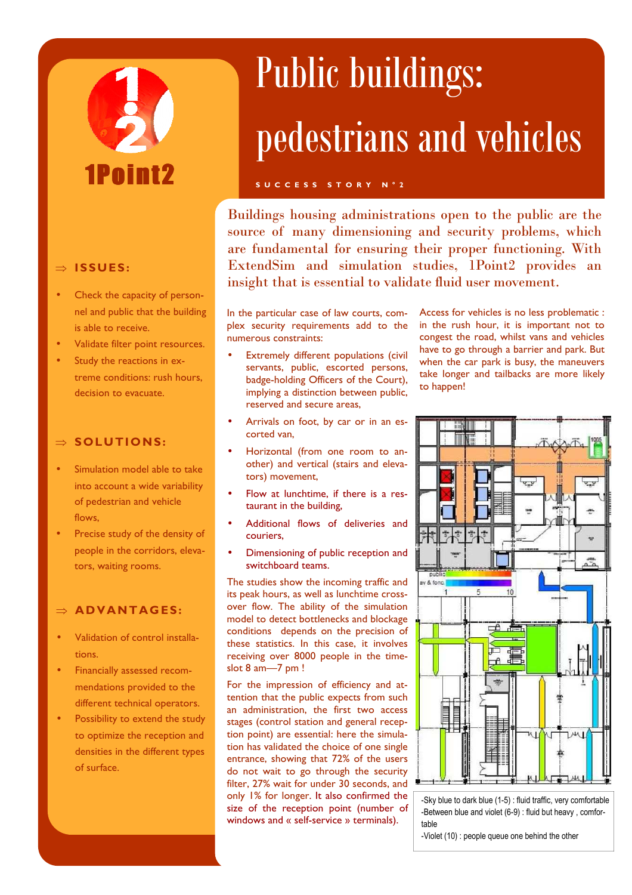# 1Poin

## ⇒ **ISSUES :**

- Check the capacity of personnel and public that the building is able to receive.
- Validate filter point resources.
- Study the reactions in extreme conditions: rush hours, decision to evacuate.

### ⇒ **SOLUTIONS:**

- Simulation model able to take into account a wide variability of pedestrian and vehicle flows,
- Precise study of the density of people in the corridors, elevators, waiting rooms.

### ⇒ **AD VANTAG ES:**

- Validation of control installations.
- Financially assessed recommendations provided to the different technical operators.
- Possibility to extend the study to optimize the reception and densities in the different types of surface.

## Public buildings: pedestrians and vehicles

### **S U C C E S S S T O R Y N ° 2**

Buildings housing administrations open to the public are the source of many dimensioning and security problems, which are fundamental for ensuring their proper functioning. With ExtendSim and simulation studies, 1Point2 provides an insight that is essential to validate fluid user movement.

In the particular case of law courts, complex security requirements add to the numerous constraints:

- Extremely different populations (civil servants, public, escorted persons, badge-holding Officers of the Court), implying a distinction between public, reserved and secure areas,
- Arrivals on foot, by car or in an escorted van,
- Horizontal (from one room to another) and vertical (stairs and elevators) movement,
- Flow at lunchtime, if there is a restaurant in the building,
- Additional flows of deliveries and couriers,
- Dimensioning of public reception and switchboard teams.

The studies show the incoming traffic and its peak hours, as well as lunchtime crossover flow. The ability of the simulation model to detect bottlenecks and blockage conditions depends on the precision of these statistics. In this case, it involves receiving over 8000 people in the timeslot 8 am—7 pm !

For the impression of efficiency and attention that the public expects from such an administration, the first two access stages (control station and general reception point) are essential: here the simulation has validated the choice of one single entrance, showing that 72% of the users do not wait to go through the security filter, 27% wait for under 30 seconds, and only 1% for longer. It also confirmed the size of the reception point (number of windows and « self-service » terminals).

Access for vehicles is no less problematic : in the rush hour, it is important not to congest the road, whilst vans and vehicles have to go through a barrier and park. But when the car park is busy, the maneuvers take longer and tailbacks are more likely to happen!



-Sky blue to dark blue (1-5) : fluid traffic, very comfortable -Between blue and violet (6-9) : fluid but heavy , comfortable

-Violet (10) : people queue one behind the other